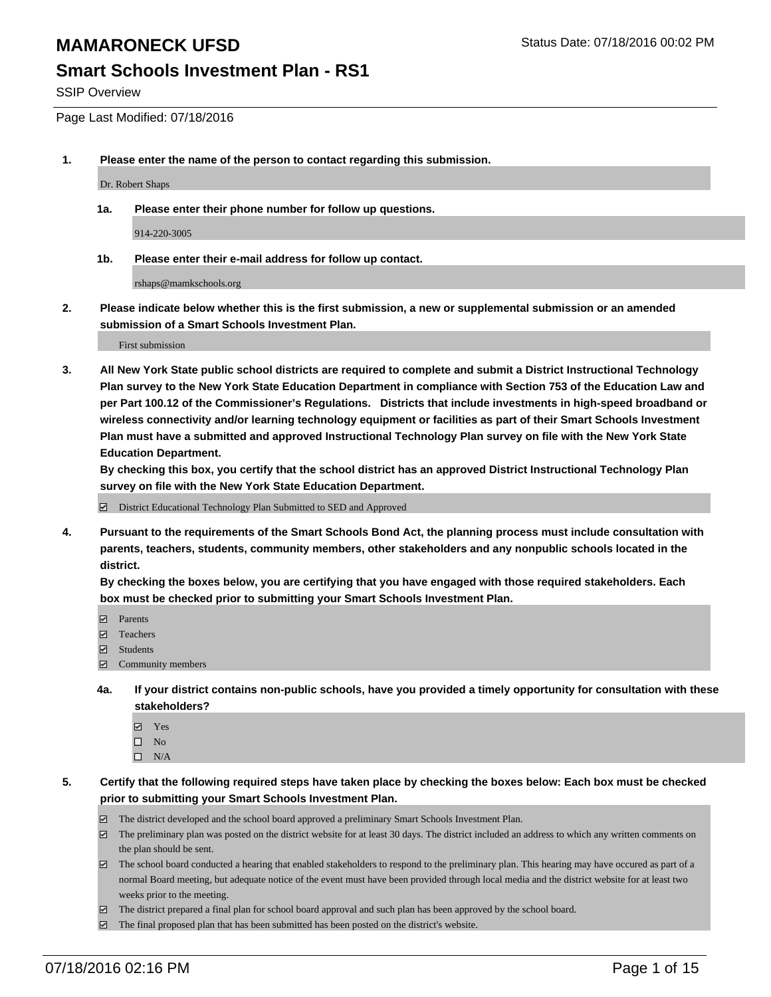#### **Smart Schools Investment Plan - RS1**

SSIP Overview

Page Last Modified: 07/18/2016

**1. Please enter the name of the person to contact regarding this submission.**

Dr. Robert Shaps

**1a. Please enter their phone number for follow up questions.**

914-220-3005

**1b. Please enter their e-mail address for follow up contact.**

rshaps@mamkschools.org

**2. Please indicate below whether this is the first submission, a new or supplemental submission or an amended submission of a Smart Schools Investment Plan.**

First submission

**3. All New York State public school districts are required to complete and submit a District Instructional Technology Plan survey to the New York State Education Department in compliance with Section 753 of the Education Law and per Part 100.12 of the Commissioner's Regulations. Districts that include investments in high-speed broadband or wireless connectivity and/or learning technology equipment or facilities as part of their Smart Schools Investment Plan must have a submitted and approved Instructional Technology Plan survey on file with the New York State Education Department.** 

**By checking this box, you certify that the school district has an approved District Instructional Technology Plan survey on file with the New York State Education Department.**

District Educational Technology Plan Submitted to SED and Approved

**4. Pursuant to the requirements of the Smart Schools Bond Act, the planning process must include consultation with parents, teachers, students, community members, other stakeholders and any nonpublic schools located in the district.** 

**By checking the boxes below, you are certifying that you have engaged with those required stakeholders. Each box must be checked prior to submitting your Smart Schools Investment Plan.**

- **Parents**
- Teachers
- Students
- Community members
- **4a. If your district contains non-public schools, have you provided a timely opportunity for consultation with these stakeholders?**
	- Yes  $\square$  No
	- $\square$  N/A
- **5. Certify that the following required steps have taken place by checking the boxes below: Each box must be checked prior to submitting your Smart Schools Investment Plan.**
	- The district developed and the school board approved a preliminary Smart Schools Investment Plan.
	- $\Box$  The preliminary plan was posted on the district website for at least 30 days. The district included an address to which any written comments on the plan should be sent.
	- $\Box$  The school board conducted a hearing that enabled stakeholders to respond to the preliminary plan. This hearing may have occured as part of a normal Board meeting, but adequate notice of the event must have been provided through local media and the district website for at least two weeks prior to the meeting.
	- The district prepared a final plan for school board approval and such plan has been approved by the school board.
	- $\boxdot$  The final proposed plan that has been submitted has been posted on the district's website.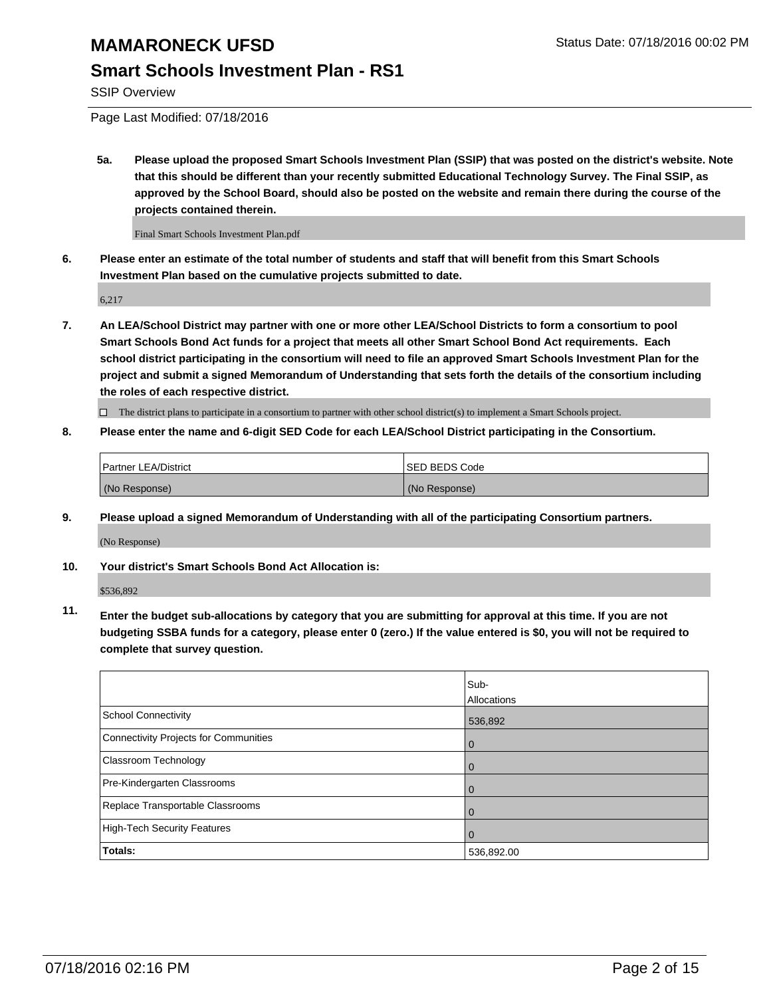#### **Smart Schools Investment Plan - RS1**

SSIP Overview

Page Last Modified: 07/18/2016

**5a. Please upload the proposed Smart Schools Investment Plan (SSIP) that was posted on the district's website. Note that this should be different than your recently submitted Educational Technology Survey. The Final SSIP, as approved by the School Board, should also be posted on the website and remain there during the course of the projects contained therein.**

Final Smart Schools Investment Plan.pdf

**6. Please enter an estimate of the total number of students and staff that will benefit from this Smart Schools Investment Plan based on the cumulative projects submitted to date.**

6,217

**7. An LEA/School District may partner with one or more other LEA/School Districts to form a consortium to pool Smart Schools Bond Act funds for a project that meets all other Smart School Bond Act requirements. Each school district participating in the consortium will need to file an approved Smart Schools Investment Plan for the project and submit a signed Memorandum of Understanding that sets forth the details of the consortium including the roles of each respective district.**

 $\Box$  The district plans to participate in a consortium to partner with other school district(s) to implement a Smart Schools project.

**8. Please enter the name and 6-digit SED Code for each LEA/School District participating in the Consortium.**

| <b>Partner LEA/District</b> | ISED BEDS Code |
|-----------------------------|----------------|
| (No Response)               | (No Response)  |

**9. Please upload a signed Memorandum of Understanding with all of the participating Consortium partners.**

(No Response)

**10. Your district's Smart Schools Bond Act Allocation is:**

\$536,892

**11. Enter the budget sub-allocations by category that you are submitting for approval at this time. If you are not budgeting SSBA funds for a category, please enter 0 (zero.) If the value entered is \$0, you will not be required to complete that survey question.**

|                                       | Sub-        |
|---------------------------------------|-------------|
|                                       | Allocations |
| <b>School Connectivity</b>            | 536,892     |
| Connectivity Projects for Communities | $\Omega$    |
| Classroom Technology                  | 0           |
| Pre-Kindergarten Classrooms           | $\Omega$    |
| Replace Transportable Classrooms      | $\Omega$    |
| High-Tech Security Features           | $\Omega$    |
| <b>Totals:</b>                        | 536,892.00  |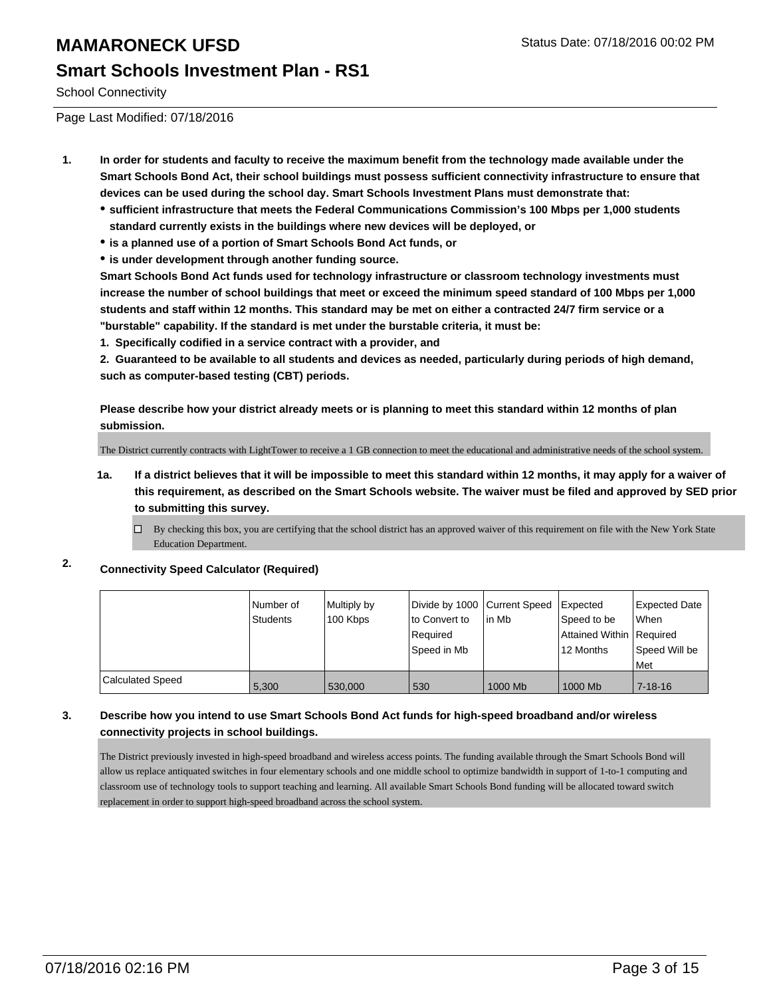School Connectivity

Page Last Modified: 07/18/2016

- **1. In order for students and faculty to receive the maximum benefit from the technology made available under the Smart Schools Bond Act, their school buildings must possess sufficient connectivity infrastructure to ensure that devices can be used during the school day. Smart Schools Investment Plans must demonstrate that:**
	- **sufficient infrastructure that meets the Federal Communications Commission's 100 Mbps per 1,000 students standard currently exists in the buildings where new devices will be deployed, or**
	- **is a planned use of a portion of Smart Schools Bond Act funds, or**
	- **is under development through another funding source.**

**Smart Schools Bond Act funds used for technology infrastructure or classroom technology investments must increase the number of school buildings that meet or exceed the minimum speed standard of 100 Mbps per 1,000 students and staff within 12 months. This standard may be met on either a contracted 24/7 firm service or a "burstable" capability. If the standard is met under the burstable criteria, it must be:**

**1. Specifically codified in a service contract with a provider, and**

**2. Guaranteed to be available to all students and devices as needed, particularly during periods of high demand, such as computer-based testing (CBT) periods.**

**Please describe how your district already meets or is planning to meet this standard within 12 months of plan submission.**

The District currently contracts with LightTower to receive a 1 GB connection to meet the educational and administrative needs of the school system.

- **1a. If a district believes that it will be impossible to meet this standard within 12 months, it may apply for a waiver of this requirement, as described on the Smart Schools website. The waiver must be filed and approved by SED prior to submitting this survey.**
	- $\Box$ By checking this box, you are certifying that the school district has an approved waiver of this requirement on file with the New York State Education Department.
- **2. Connectivity Speed Calculator (Required)**

|                  | l Number of<br>Students | Multiply by<br>100 Kbps | Divide by 1000 Current Speed<br>to Convert to<br>Required<br>lSpeed in Mb | lin Mb  | <b>I</b> Expected<br>Speed to be<br>Attained Within   Required<br>12 Months | Expected Date<br>When<br>Speed Will be<br>l Met |
|------------------|-------------------------|-------------------------|---------------------------------------------------------------------------|---------|-----------------------------------------------------------------------------|-------------------------------------------------|
| Calculated Speed | 5.300                   | 530,000                 | 530                                                                       | 1000 Mb | 1000 Mb                                                                     | $7 - 18 - 16$                                   |

#### **3. Describe how you intend to use Smart Schools Bond Act funds for high-speed broadband and/or wireless connectivity projects in school buildings.**

The District previously invested in high-speed broadband and wireless access points. The funding available through the Smart Schools Bond will allow us replace antiquated switches in four elementary schools and one middle school to optimize bandwidth in support of 1-to-1 computing and classroom use of technology tools to support teaching and learning. All available Smart Schools Bond funding will be allocated toward switch replacement in order to support high-speed broadband across the school system.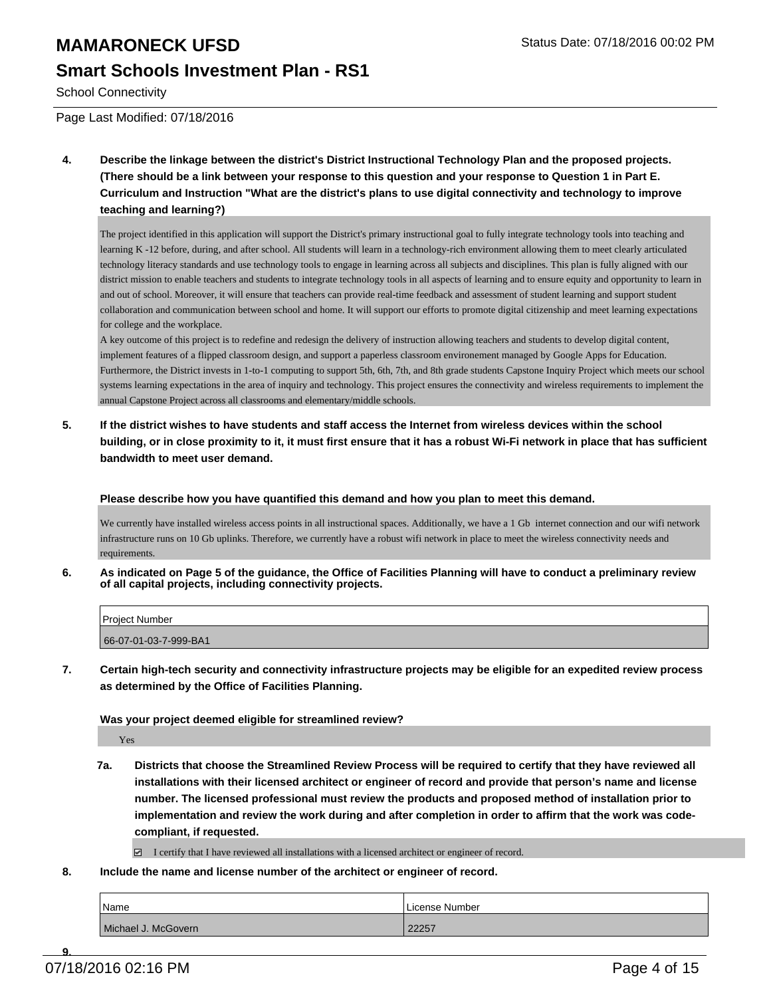## **MAMARONECK UFSD** Status Date: 07/18/2016 00:02 PM **Smart Schools Investment Plan - RS1**

School Connectivity

Page Last Modified: 07/18/2016

**4. Describe the linkage between the district's District Instructional Technology Plan and the proposed projects. (There should be a link between your response to this question and your response to Question 1 in Part E. Curriculum and Instruction "What are the district's plans to use digital connectivity and technology to improve teaching and learning?)**

The project identified in this application will support the District's primary instructional goal to fully integrate technology tools into teaching and learning K -12 before, during, and after school. All students will learn in a technology-rich environment allowing them to meet clearly articulated technology literacy standards and use technology tools to engage in learning across all subjects and disciplines. This plan is fully aligned with our district mission to enable teachers and students to integrate technology tools in all aspects of learning and to ensure equity and opportunity to learn in and out of school. Moreover, it will ensure that teachers can provide real-time feedback and assessment of student learning and support student collaboration and communication between school and home. It will support our efforts to promote digital citizenship and meet learning expectations for college and the workplace.

A key outcome of this project is to redefine and redesign the delivery of instruction allowing teachers and students to develop digital content, implement features of a flipped classroom design, and support a paperless classroom environement managed by Google Apps for Education. Furthermore, the District invests in 1-to-1 computing to support 5th, 6th, 7th, and 8th grade students Capstone Inquiry Project which meets our school systems learning expectations in the area of inquiry and technology. This project ensures the connectivity and wireless requirements to implement the annual Capstone Project across all classrooms and elementary/middle schools.

**5. If the district wishes to have students and staff access the Internet from wireless devices within the school building, or in close proximity to it, it must first ensure that it has a robust Wi-Fi network in place that has sufficient bandwidth to meet user demand.**

**Please describe how you have quantified this demand and how you plan to meet this demand.**

We currently have installed wireless access points in all instructional spaces. Additionally, we have a 1 Gb internet connection and our wifi network infrastructure runs on 10 Gb uplinks. Therefore, we currently have a robust wifi network in place to meet the wireless connectivity needs and requirements.

**6. As indicated on Page 5 of the guidance, the Office of Facilities Planning will have to conduct a preliminary review of all capital projects, including connectivity projects.**

| <b>Project Number</b> |  |
|-----------------------|--|
| 66-07-01-03-7-999-BA1 |  |

**7. Certain high-tech security and connectivity infrastructure projects may be eligible for an expedited review process as determined by the Office of Facilities Planning.**

**Was your project deemed eligible for streamlined review?**

Yes

- **7a. Districts that choose the Streamlined Review Process will be required to certify that they have reviewed all installations with their licensed architect or engineer of record and provide that person's name and license number. The licensed professional must review the products and proposed method of installation prior to implementation and review the work during and after completion in order to affirm that the work was codecompliant, if requested.**
	- $\Box$  I certify that I have reviewed all installations with a licensed architect or engineer of record.
- **8. Include the name and license number of the architect or engineer of record.**

| <sup>1</sup> Name   | License Number |
|---------------------|----------------|
| Michael J. McGovern | 22257          |

**9.**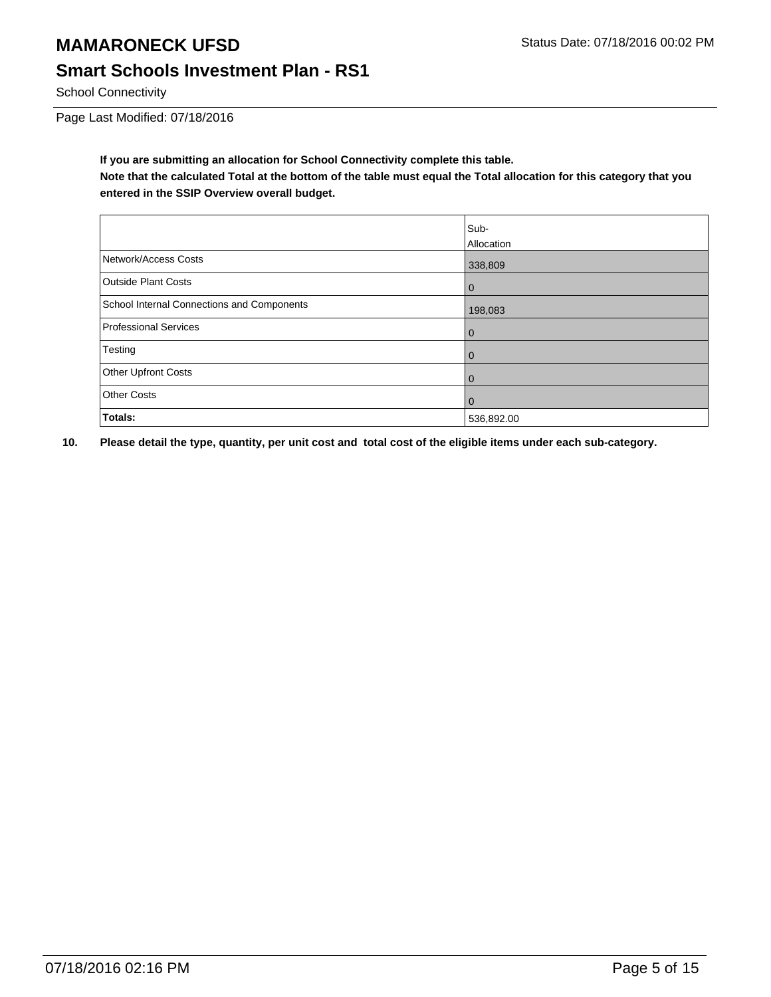## **MAMARONECK UFSD** Status Date: 07/18/2016 00:02 PM **Smart Schools Investment Plan - RS1**

School Connectivity

Page Last Modified: 07/18/2016

**If you are submitting an allocation for School Connectivity complete this table.**

**Note that the calculated Total at the bottom of the table must equal the Total allocation for this category that you entered in the SSIP Overview overall budget.** 

|                                                   | Sub-        |
|---------------------------------------------------|-------------|
|                                                   | Allocation  |
| Network/Access Costs                              | 338,809     |
| Outside Plant Costs                               | $\mathbf 0$ |
| <b>School Internal Connections and Components</b> | 198,083     |
| Professional Services                             | 0           |
| Testing                                           | 0           |
| Other Upfront Costs                               | 0           |
| <b>Other Costs</b>                                | 0           |
| Totals:                                           | 536,892.00  |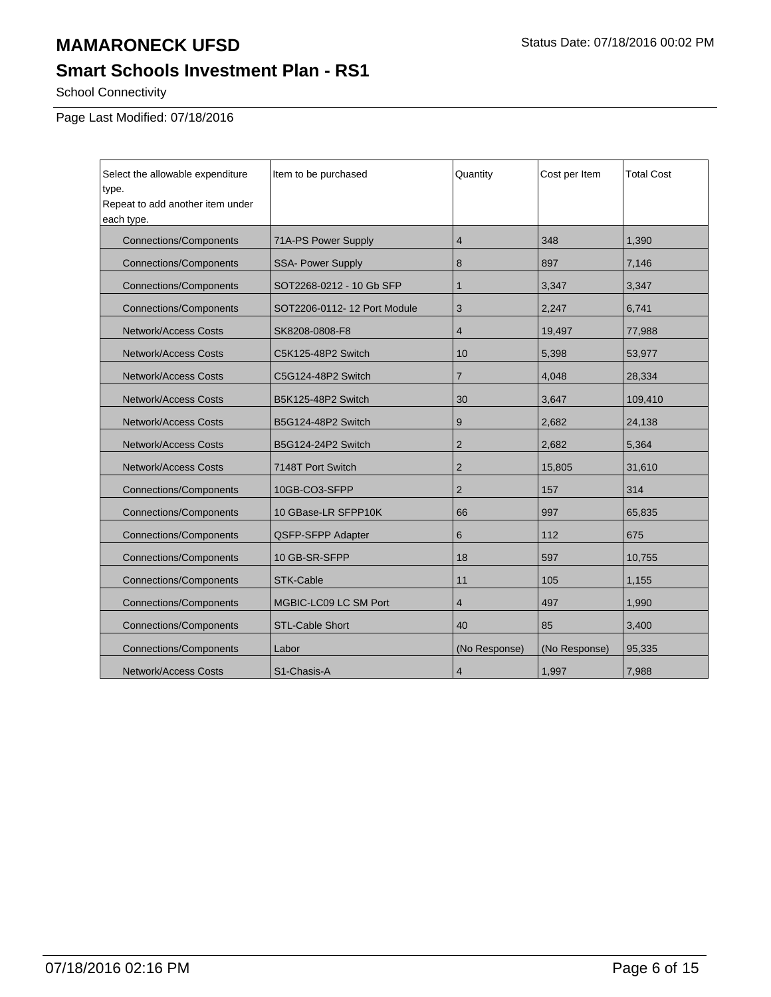## **Smart Schools Investment Plan - RS1**

School Connectivity

Page Last Modified: 07/18/2016

| Select the allowable expenditure<br>type.<br>Repeat to add another item under<br>each type. | Item to be purchased        | Quantity                | Cost per Item | <b>Total Cost</b> |
|---------------------------------------------------------------------------------------------|-----------------------------|-------------------------|---------------|-------------------|
| <b>Connections/Components</b>                                                               | 71A-PS Power Supply         | 4                       | 348           | 1,390             |
| <b>Connections/Components</b>                                                               | <b>SSA- Power Supply</b>    | 8                       | 897           | 7,146             |
| <b>Connections/Components</b>                                                               | SOT2268-0212 - 10 Gb SFP    | $\mathbf{1}$            | 3,347         | 3,347             |
| <b>Connections/Components</b>                                                               | SOT2206-0112-12 Port Module | 3                       | 2,247         | 6,741             |
| <b>Network/Access Costs</b>                                                                 | SK8208-0808-F8              | $\overline{\mathbf{4}}$ | 19,497        | 77,988            |
| <b>Network/Access Costs</b>                                                                 | C5K125-48P2 Switch          | 10                      | 5,398         | 53,977            |
| <b>Network/Access Costs</b>                                                                 | C5G124-48P2 Switch          | $\overline{7}$          | 4,048         | 28,334            |
| <b>Network/Access Costs</b>                                                                 | B5K125-48P2 Switch          | 30                      | 3,647         | 109,410           |
| <b>Network/Access Costs</b>                                                                 | B5G124-48P2 Switch          | 9                       | 2.682         | 24,138            |
| <b>Network/Access Costs</b>                                                                 | B5G124-24P2 Switch          | $\overline{2}$          | 2.682         | 5,364             |
| <b>Network/Access Costs</b>                                                                 | 7148T Port Switch           | $\overline{2}$          | 15,805        | 31,610            |
| <b>Connections/Components</b>                                                               | 10GB-CO3-SFPP               | $\overline{2}$          | 157           | 314               |
| <b>Connections/Components</b>                                                               | 10 GBase-LR SFPP10K         | 66                      | 997           | 65,835            |
| <b>Connections/Components</b>                                                               | QSFP-SFPP Adapter           | 6                       | 112           | 675               |
| <b>Connections/Components</b>                                                               | 10 GB-SR-SFPP               | 18                      | 597           | 10,755            |
| <b>Connections/Components</b>                                                               | <b>STK-Cable</b>            | 11                      | 105           | 1,155             |
| <b>Connections/Components</b>                                                               | MGBIC-LC09 LC SM Port       | $\overline{4}$          | 497           | 1,990             |
| <b>Connections/Components</b>                                                               | <b>STL-Cable Short</b>      | 40                      | 85            | 3,400             |
| <b>Connections/Components</b>                                                               | Labor                       | (No Response)           | (No Response) | 95,335            |
| <b>Network/Access Costs</b>                                                                 | S1-Chasis-A                 | $\overline{4}$          | 1,997         | 7,988             |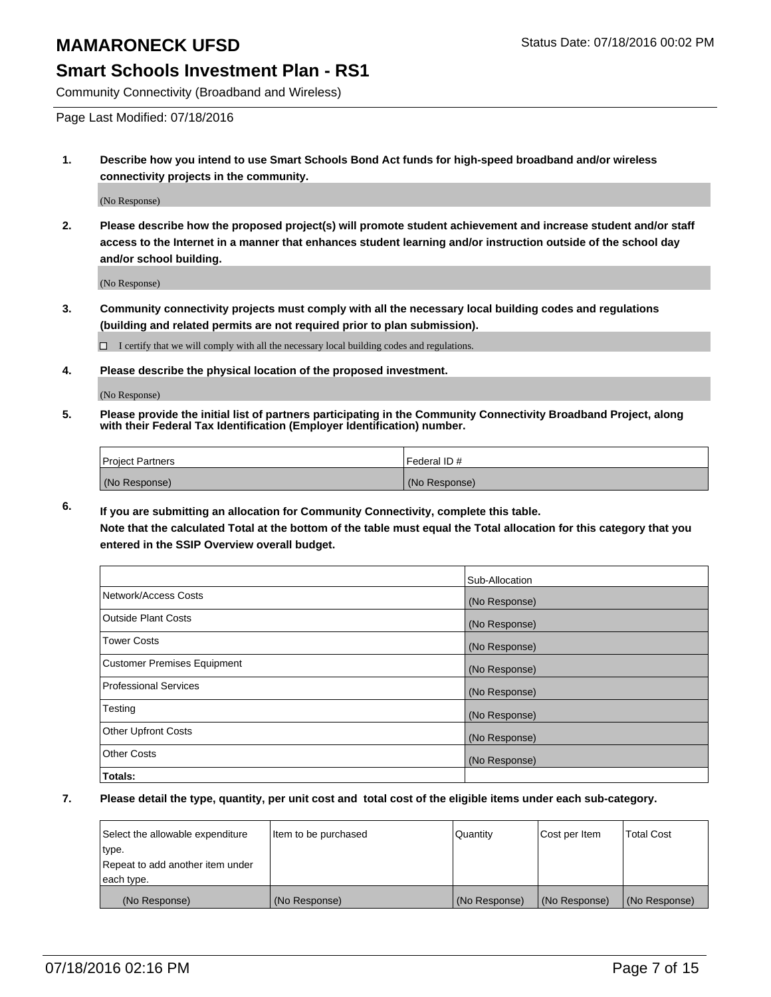#### **Smart Schools Investment Plan - RS1**

Community Connectivity (Broadband and Wireless)

Page Last Modified: 07/18/2016

**1. Describe how you intend to use Smart Schools Bond Act funds for high-speed broadband and/or wireless connectivity projects in the community.**

(No Response)

**2. Please describe how the proposed project(s) will promote student achievement and increase student and/or staff access to the Internet in a manner that enhances student learning and/or instruction outside of the school day and/or school building.**

(No Response)

**3. Community connectivity projects must comply with all the necessary local building codes and regulations (building and related permits are not required prior to plan submission).**

 $\Box$  I certify that we will comply with all the necessary local building codes and regulations.

**4. Please describe the physical location of the proposed investment.**

(No Response)

**5. Please provide the initial list of partners participating in the Community Connectivity Broadband Project, along with their Federal Tax Identification (Employer Identification) number.**

| Project Partners | I Federal ID # |
|------------------|----------------|
| (No Response)    | (No Response)  |

**6. If you are submitting an allocation for Community Connectivity, complete this table. Note that the calculated Total at the bottom of the table must equal the Total allocation for this category that you**

**entered in the SSIP Overview overall budget.**

|                             | Sub-Allocation |
|-----------------------------|----------------|
| Network/Access Costs        | (No Response)  |
| Outside Plant Costs         | (No Response)  |
| <b>Tower Costs</b>          | (No Response)  |
| Customer Premises Equipment | (No Response)  |
| Professional Services       | (No Response)  |
| Testing                     | (No Response)  |
| Other Upfront Costs         | (No Response)  |
| Other Costs                 | (No Response)  |
| Totals:                     |                |

| Select the allowable expenditure | litem to be purchased | Quantity      | Cost per Item | <b>Total Cost</b> |
|----------------------------------|-----------------------|---------------|---------------|-------------------|
| type.                            |                       |               |               |                   |
| Repeat to add another item under |                       |               |               |                   |
| each type.                       |                       |               |               |                   |
| (No Response)                    | (No Response)         | (No Response) | (No Response) | (No Response)     |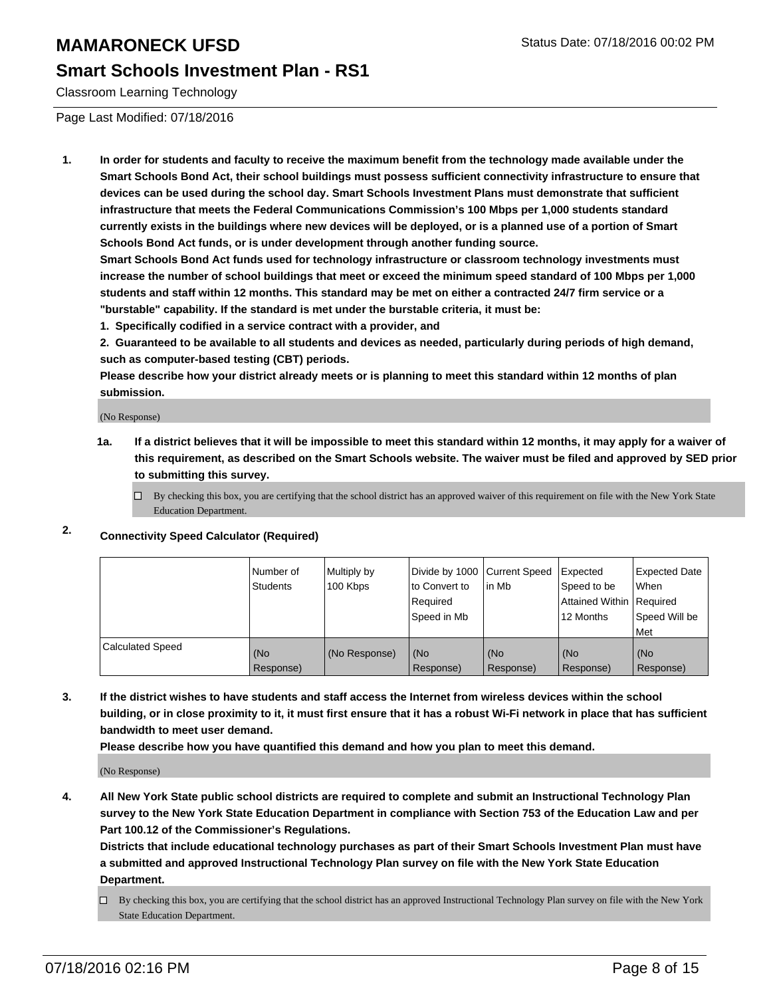#### **Smart Schools Investment Plan - RS1**

Classroom Learning Technology

Page Last Modified: 07/18/2016

**1. In order for students and faculty to receive the maximum benefit from the technology made available under the Smart Schools Bond Act, their school buildings must possess sufficient connectivity infrastructure to ensure that devices can be used during the school day. Smart Schools Investment Plans must demonstrate that sufficient infrastructure that meets the Federal Communications Commission's 100 Mbps per 1,000 students standard currently exists in the buildings where new devices will be deployed, or is a planned use of a portion of Smart Schools Bond Act funds, or is under development through another funding source.**

**Smart Schools Bond Act funds used for technology infrastructure or classroom technology investments must increase the number of school buildings that meet or exceed the minimum speed standard of 100 Mbps per 1,000 students and staff within 12 months. This standard may be met on either a contracted 24/7 firm service or a "burstable" capability. If the standard is met under the burstable criteria, it must be:**

**1. Specifically codified in a service contract with a provider, and**

**2. Guaranteed to be available to all students and devices as needed, particularly during periods of high demand, such as computer-based testing (CBT) periods.**

**Please describe how your district already meets or is planning to meet this standard within 12 months of plan submission.**

(No Response)

- **1a. If a district believes that it will be impossible to meet this standard within 12 months, it may apply for a waiver of this requirement, as described on the Smart Schools website. The waiver must be filed and approved by SED prior to submitting this survey.**
	- $\Box$  By checking this box, you are certifying that the school district has an approved waiver of this requirement on file with the New York State Education Department.

#### **2. Connectivity Speed Calculator (Required)**

|                         | l Number of<br>Students | Multiply by<br>100 Kbps | to Convert to<br>l Reauired<br>Speed in Mb | Divide by 1000 Current Speed Expected<br>lin Mb | Speed to be<br>Attained Within Required<br>12 Months | Expected Date<br>l When<br>Speed Will be<br>l Met |
|-------------------------|-------------------------|-------------------------|--------------------------------------------|-------------------------------------------------|------------------------------------------------------|---------------------------------------------------|
| <b>Calculated Speed</b> | (No<br>Response)        | (No Response)           | (No<br>Response)                           | (No<br>Response)                                | (No<br>Response)                                     | (No<br>Response)                                  |

**3. If the district wishes to have students and staff access the Internet from wireless devices within the school building, or in close proximity to it, it must first ensure that it has a robust Wi-Fi network in place that has sufficient bandwidth to meet user demand.**

**Please describe how you have quantified this demand and how you plan to meet this demand.**

(No Response)

**4. All New York State public school districts are required to complete and submit an Instructional Technology Plan survey to the New York State Education Department in compliance with Section 753 of the Education Law and per Part 100.12 of the Commissioner's Regulations.**

**Districts that include educational technology purchases as part of their Smart Schools Investment Plan must have a submitted and approved Instructional Technology Plan survey on file with the New York State Education Department.**

By checking this box, you are certifying that the school district has an approved Instructional Technology Plan survey on file with the New York State Education Department.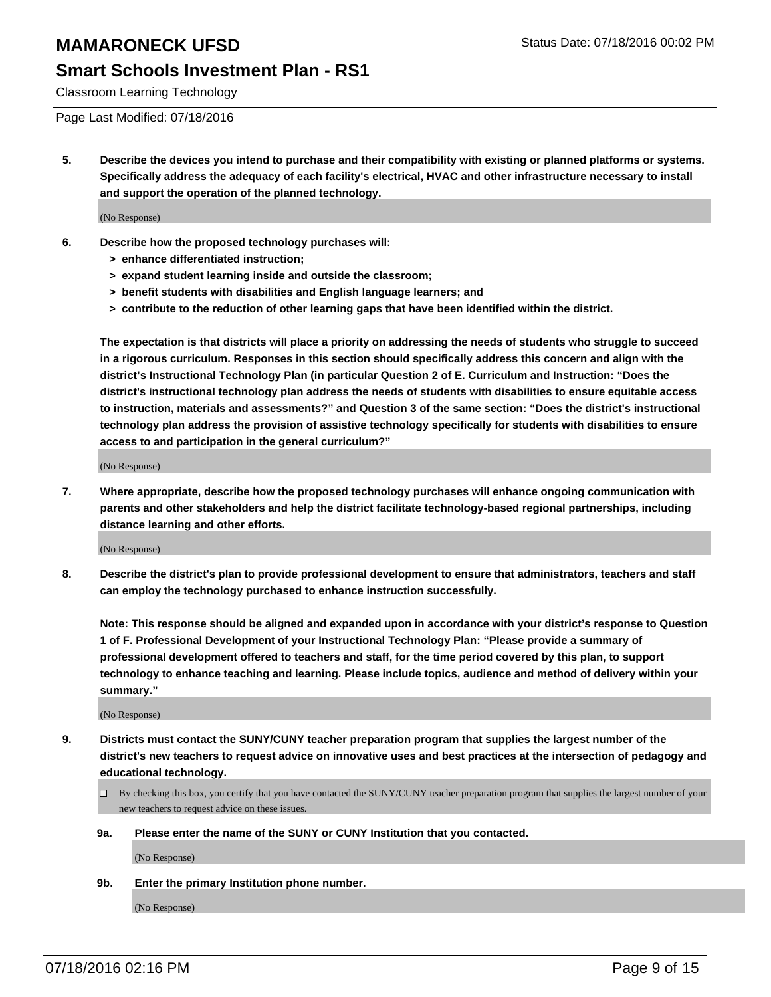#### **Smart Schools Investment Plan - RS1**

Classroom Learning Technology

Page Last Modified: 07/18/2016

**5. Describe the devices you intend to purchase and their compatibility with existing or planned platforms or systems. Specifically address the adequacy of each facility's electrical, HVAC and other infrastructure necessary to install and support the operation of the planned technology.**

(No Response)

- **6. Describe how the proposed technology purchases will:**
	- **> enhance differentiated instruction;**
	- **> expand student learning inside and outside the classroom;**
	- **> benefit students with disabilities and English language learners; and**
	- **> contribute to the reduction of other learning gaps that have been identified within the district.**

**The expectation is that districts will place a priority on addressing the needs of students who struggle to succeed in a rigorous curriculum. Responses in this section should specifically address this concern and align with the district's Instructional Technology Plan (in particular Question 2 of E. Curriculum and Instruction: "Does the district's instructional technology plan address the needs of students with disabilities to ensure equitable access to instruction, materials and assessments?" and Question 3 of the same section: "Does the district's instructional technology plan address the provision of assistive technology specifically for students with disabilities to ensure access to and participation in the general curriculum?"**

(No Response)

**7. Where appropriate, describe how the proposed technology purchases will enhance ongoing communication with parents and other stakeholders and help the district facilitate technology-based regional partnerships, including distance learning and other efforts.**

(No Response)

**8. Describe the district's plan to provide professional development to ensure that administrators, teachers and staff can employ the technology purchased to enhance instruction successfully.**

**Note: This response should be aligned and expanded upon in accordance with your district's response to Question 1 of F. Professional Development of your Instructional Technology Plan: "Please provide a summary of professional development offered to teachers and staff, for the time period covered by this plan, to support technology to enhance teaching and learning. Please include topics, audience and method of delivery within your summary."**

(No Response)

- **9. Districts must contact the SUNY/CUNY teacher preparation program that supplies the largest number of the district's new teachers to request advice on innovative uses and best practices at the intersection of pedagogy and educational technology.**
	- $\square$  By checking this box, you certify that you have contacted the SUNY/CUNY teacher preparation program that supplies the largest number of your new teachers to request advice on these issues.
	- **9a. Please enter the name of the SUNY or CUNY Institution that you contacted.**

(No Response)

**9b. Enter the primary Institution phone number.**

(No Response)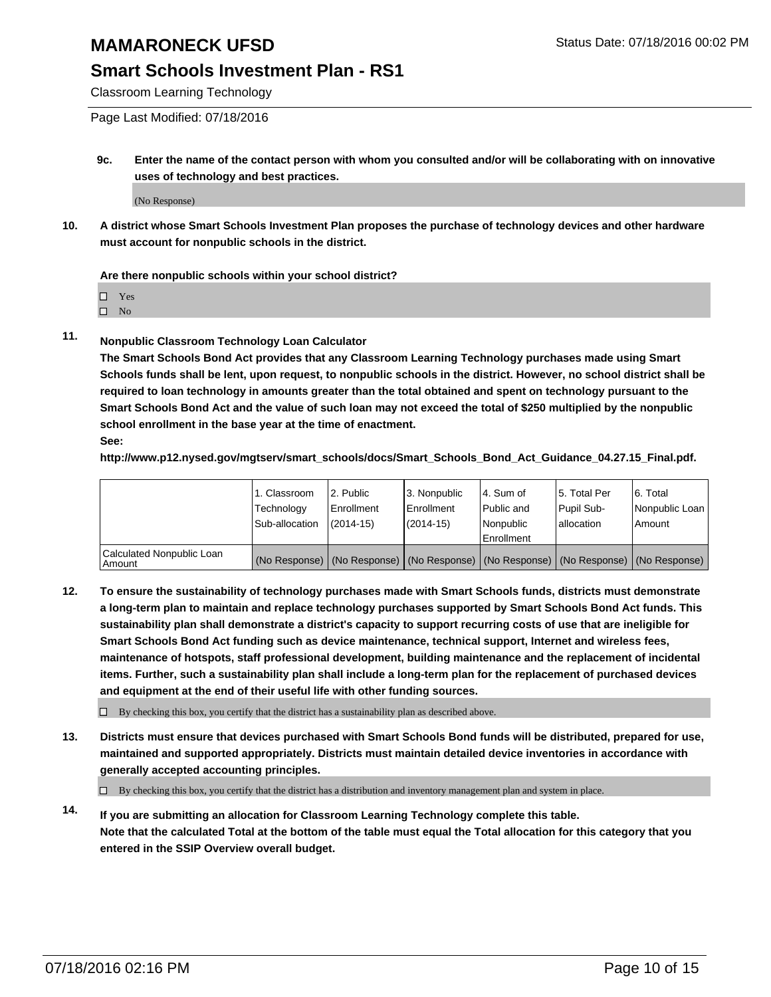#### **Smart Schools Investment Plan - RS1**

Classroom Learning Technology

Page Last Modified: 07/18/2016

**9c. Enter the name of the contact person with whom you consulted and/or will be collaborating with on innovative uses of technology and best practices.**

(No Response)

**10. A district whose Smart Schools Investment Plan proposes the purchase of technology devices and other hardware must account for nonpublic schools in the district.**

**Are there nonpublic schools within your school district?**

□ Yes

 $\hfill \square$  No

**11. Nonpublic Classroom Technology Loan Calculator**

**The Smart Schools Bond Act provides that any Classroom Learning Technology purchases made using Smart Schools funds shall be lent, upon request, to nonpublic schools in the district. However, no school district shall be required to loan technology in amounts greater than the total obtained and spent on technology pursuant to the Smart Schools Bond Act and the value of such loan may not exceed the total of \$250 multiplied by the nonpublic school enrollment in the base year at the time of enactment. See:**

**http://www.p12.nysed.gov/mgtserv/smart\_schools/docs/Smart\_Schools\_Bond\_Act\_Guidance\_04.27.15\_Final.pdf.**

|                                         | 1. Classroom   | 2. Public         | 3. Nonpublic                                                                                  | l 4. Sum of  | 5. Total Per | 6. Total       |
|-----------------------------------------|----------------|-------------------|-----------------------------------------------------------------------------------------------|--------------|--------------|----------------|
|                                         | Technology     | <b>Enrollment</b> | Enrollment                                                                                    | l Public and | Pupil Sub-   | Nonpublic Loan |
|                                         | Sub-allocation | $(2014 - 15)$     | $(2014-15)$                                                                                   | Nonpublic    | lallocation  | Amount         |
| Calculated Nonpublic Loan<br>l Amount i |                |                   | (No Response)   (No Response)   (No Response)   (No Response)   (No Response)   (No Response) | Enrollment   |              |                |

**12. To ensure the sustainability of technology purchases made with Smart Schools funds, districts must demonstrate a long-term plan to maintain and replace technology purchases supported by Smart Schools Bond Act funds. This sustainability plan shall demonstrate a district's capacity to support recurring costs of use that are ineligible for Smart Schools Bond Act funding such as device maintenance, technical support, Internet and wireless fees, maintenance of hotspots, staff professional development, building maintenance and the replacement of incidental items. Further, such a sustainability plan shall include a long-term plan for the replacement of purchased devices and equipment at the end of their useful life with other funding sources.**

 $\square$  By checking this box, you certify that the district has a sustainability plan as described above.

**13. Districts must ensure that devices purchased with Smart Schools Bond funds will be distributed, prepared for use, maintained and supported appropriately. Districts must maintain detailed device inventories in accordance with generally accepted accounting principles.**

 $\Box$  By checking this box, you certify that the district has a distribution and inventory management plan and system in place.

**14. If you are submitting an allocation for Classroom Learning Technology complete this table. Note that the calculated Total at the bottom of the table must equal the Total allocation for this category that you entered in the SSIP Overview overall budget.**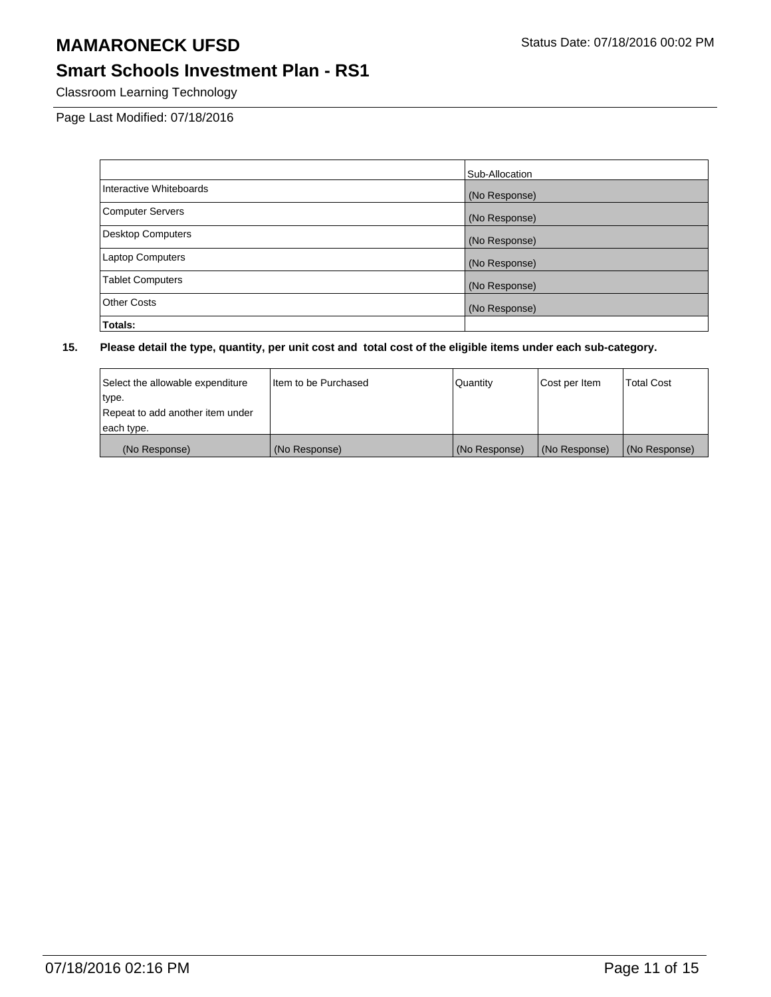## **Smart Schools Investment Plan - RS1**

Classroom Learning Technology

Page Last Modified: 07/18/2016

|                          | Sub-Allocation |
|--------------------------|----------------|
| Interactive Whiteboards  | (No Response)  |
| <b>Computer Servers</b>  | (No Response)  |
| <b>Desktop Computers</b> | (No Response)  |
| <b>Laptop Computers</b>  | (No Response)  |
| <b>Tablet Computers</b>  | (No Response)  |
| <b>Other Costs</b>       | (No Response)  |
| Totals:                  |                |

| Select the allowable expenditure | I Item to be Purchased | Quantity      | Cost per Item | <b>Total Cost</b> |
|----------------------------------|------------------------|---------------|---------------|-------------------|
| type.                            |                        |               |               |                   |
| Repeat to add another item under |                        |               |               |                   |
| each type.                       |                        |               |               |                   |
| (No Response)                    | (No Response)          | (No Response) | (No Response) | (No Response)     |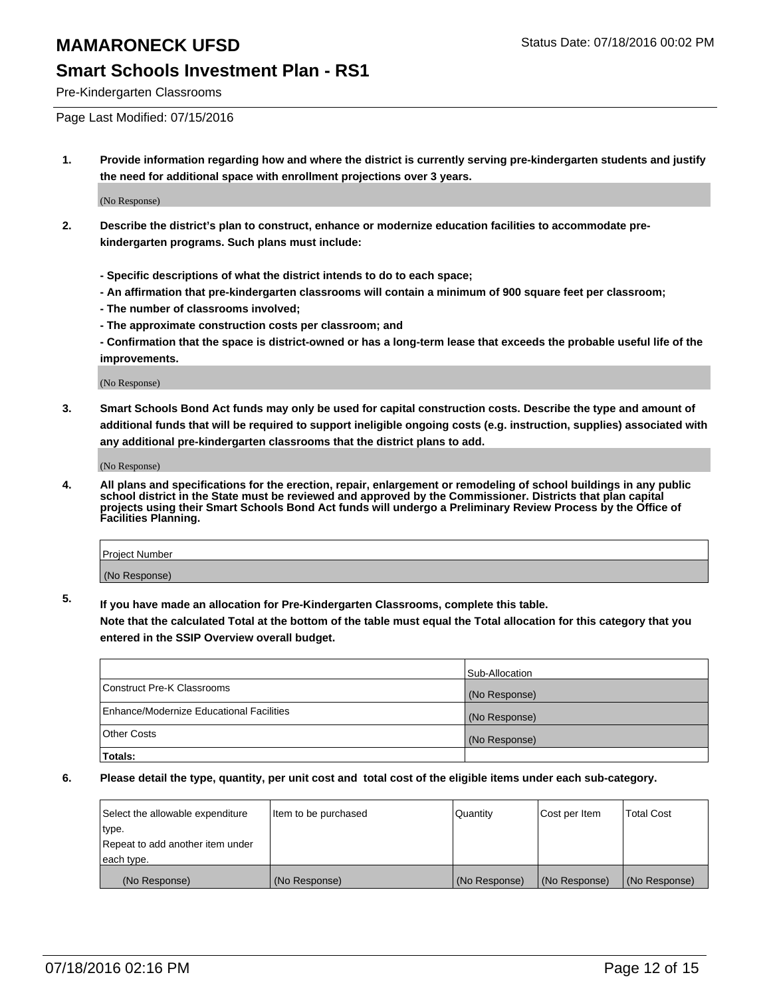#### **Smart Schools Investment Plan - RS1**

Pre-Kindergarten Classrooms

Page Last Modified: 07/15/2016

**1. Provide information regarding how and where the district is currently serving pre-kindergarten students and justify the need for additional space with enrollment projections over 3 years.**

(No Response)

- **2. Describe the district's plan to construct, enhance or modernize education facilities to accommodate prekindergarten programs. Such plans must include:**
	- **Specific descriptions of what the district intends to do to each space;**
	- **An affirmation that pre-kindergarten classrooms will contain a minimum of 900 square feet per classroom;**
	- **The number of classrooms involved;**
	- **The approximate construction costs per classroom; and**
	- **Confirmation that the space is district-owned or has a long-term lease that exceeds the probable useful life of the improvements.**

(No Response)

**3. Smart Schools Bond Act funds may only be used for capital construction costs. Describe the type and amount of additional funds that will be required to support ineligible ongoing costs (e.g. instruction, supplies) associated with any additional pre-kindergarten classrooms that the district plans to add.**

(No Response)

**4. All plans and specifications for the erection, repair, enlargement or remodeling of school buildings in any public school district in the State must be reviewed and approved by the Commissioner. Districts that plan capital projects using their Smart Schools Bond Act funds will undergo a Preliminary Review Process by the Office of Facilities Planning.**

| Project Number |  |
|----------------|--|
| (No Response)  |  |

**5. If you have made an allocation for Pre-Kindergarten Classrooms, complete this table.**

**Note that the calculated Total at the bottom of the table must equal the Total allocation for this category that you entered in the SSIP Overview overall budget.**

|                                          | Sub-Allocation |
|------------------------------------------|----------------|
| Construct Pre-K Classrooms               | (No Response)  |
| Enhance/Modernize Educational Facilities | (No Response)  |
| <b>Other Costs</b>                       | (No Response)  |
| Totals:                                  |                |

| Select the allowable expenditure | litem to be purchased | Quantity      | Cost per Item | <b>Total Cost</b> |
|----------------------------------|-----------------------|---------------|---------------|-------------------|
| type.                            |                       |               |               |                   |
| Repeat to add another item under |                       |               |               |                   |
| each type.                       |                       |               |               |                   |
| (No Response)                    | (No Response)         | (No Response) | (No Response) | (No Response)     |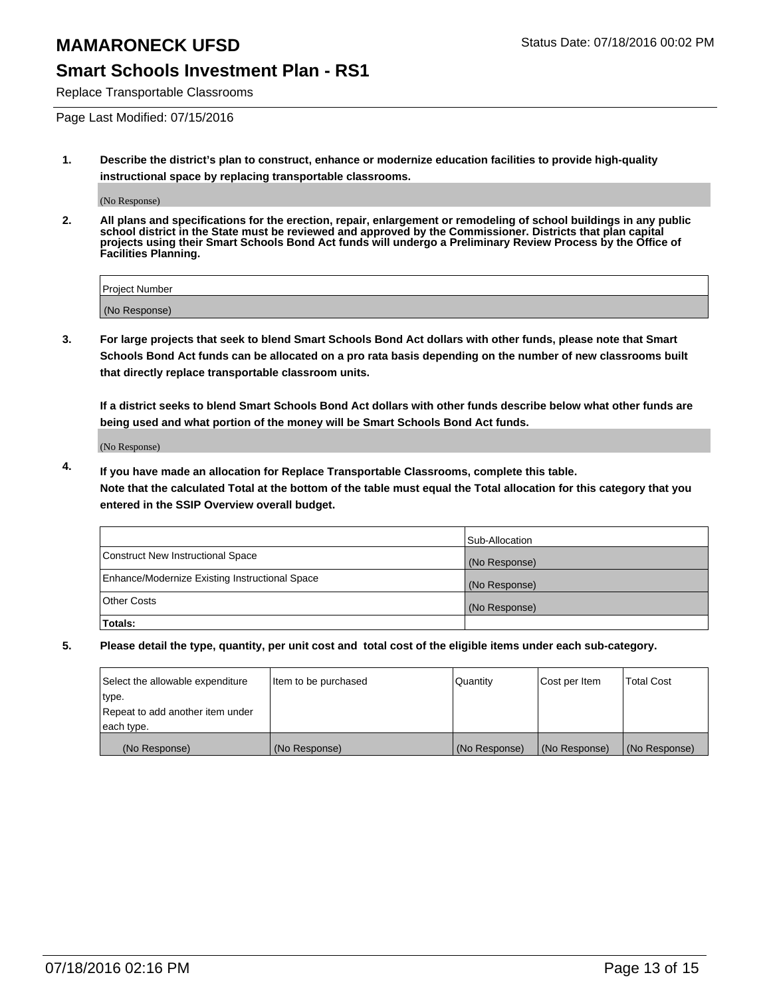#### **Smart Schools Investment Plan - RS1**

Replace Transportable Classrooms

Page Last Modified: 07/15/2016

**1. Describe the district's plan to construct, enhance or modernize education facilities to provide high-quality instructional space by replacing transportable classrooms.**

(No Response)

**2. All plans and specifications for the erection, repair, enlargement or remodeling of school buildings in any public school district in the State must be reviewed and approved by the Commissioner. Districts that plan capital projects using their Smart Schools Bond Act funds will undergo a Preliminary Review Process by the Office of Facilities Planning.**

| <b>Project Number</b> |  |
|-----------------------|--|
| (No Response)         |  |

**3. For large projects that seek to blend Smart Schools Bond Act dollars with other funds, please note that Smart Schools Bond Act funds can be allocated on a pro rata basis depending on the number of new classrooms built that directly replace transportable classroom units.**

**If a district seeks to blend Smart Schools Bond Act dollars with other funds describe below what other funds are being used and what portion of the money will be Smart Schools Bond Act funds.**

(No Response)

**4. If you have made an allocation for Replace Transportable Classrooms, complete this table. Note that the calculated Total at the bottom of the table must equal the Total allocation for this category that you entered in the SSIP Overview overall budget.**

|                                                | Sub-Allocation |
|------------------------------------------------|----------------|
| Construct New Instructional Space              | (No Response)  |
| Enhance/Modernize Existing Instructional Space | (No Response)  |
| Other Costs                                    | (No Response)  |
| Totals:                                        |                |

| Select the allowable expenditure | Item to be purchased | Quantity      | Cost per Item | <b>Total Cost</b> |
|----------------------------------|----------------------|---------------|---------------|-------------------|
| type.                            |                      |               |               |                   |
| Repeat to add another item under |                      |               |               |                   |
| each type.                       |                      |               |               |                   |
| (No Response)                    | (No Response)        | (No Response) | (No Response) | (No Response)     |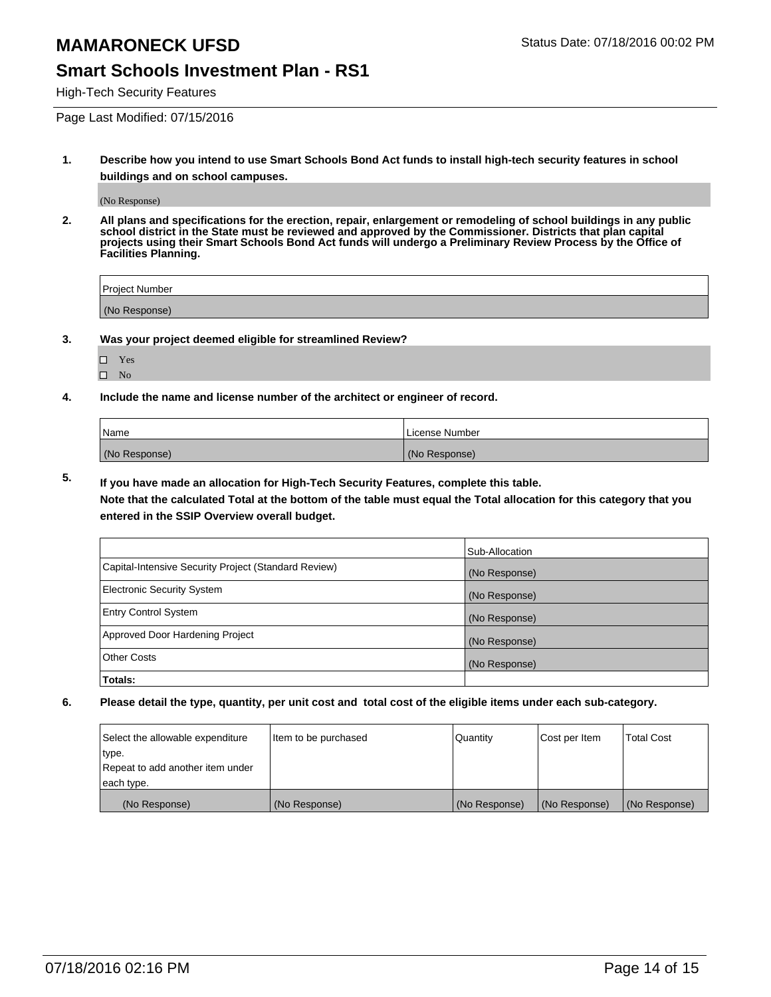#### **Smart Schools Investment Plan - RS1**

High-Tech Security Features

Page Last Modified: 07/15/2016

**1. Describe how you intend to use Smart Schools Bond Act funds to install high-tech security features in school buildings and on school campuses.**

(No Response)

**2. All plans and specifications for the erection, repair, enlargement or remodeling of school buildings in any public school district in the State must be reviewed and approved by the Commissioner. Districts that plan capital projects using their Smart Schools Bond Act funds will undergo a Preliminary Review Process by the Office of Facilities Planning.** 

| Project Number |  |
|----------------|--|
| (No Response)  |  |

**3. Was your project deemed eligible for streamlined Review?**

| П | Yes |  |
|---|-----|--|
| П | Nο  |  |

**4. Include the name and license number of the architect or engineer of record.**

| Name          | License Number |
|---------------|----------------|
| (No Response) | (No Response)  |

**5. If you have made an allocation for High-Tech Security Features, complete this table.**

**Note that the calculated Total at the bottom of the table must equal the Total allocation for this category that you entered in the SSIP Overview overall budget.**

|                                                      | Sub-Allocation |
|------------------------------------------------------|----------------|
| Capital-Intensive Security Project (Standard Review) | (No Response)  |
| <b>Electronic Security System</b>                    | (No Response)  |
| <b>Entry Control System</b>                          | (No Response)  |
| Approved Door Hardening Project                      | (No Response)  |
| <b>Other Costs</b>                                   | (No Response)  |
| Totals:                                              |                |

| Select the allowable expenditure | litem to be purchased | Quantity      | Cost per Item | <b>Total Cost</b> |
|----------------------------------|-----------------------|---------------|---------------|-------------------|
| type.                            |                       |               |               |                   |
| Repeat to add another item under |                       |               |               |                   |
| each type.                       |                       |               |               |                   |
| (No Response)                    | (No Response)         | (No Response) | (No Response) | (No Response)     |